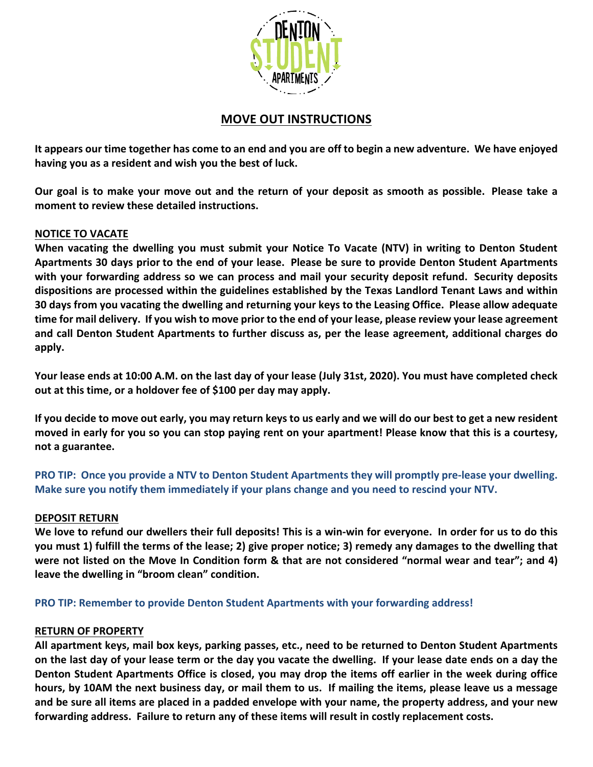

# **MOVE OUT INSTRUCTIONS**

**It appears our time together has come to an end and you are off to begin a new adventure. We have enjoyed having you as a resident and wish you the best of luck.**

**Our goal is to make your move out and the return of your deposit as smooth as possible. Please take a moment to review these detailed instructions.**

# **NOTICE TO VACATE**

**When vacating the dwelling you must submit your Notice To Vacate (NTV) in writing to Denton Student Apartments 30 days prior to the end of your lease. Please be sure to provide Denton Student Apartments with your forwarding address so we can process and mail your security deposit refund. Security deposits dispositions are processed within the guidelines established by the Texas Landlord Tenant Laws and within 30 days from you vacating the dwelling and returning your keys to the Leasing Office. Please allow adequate time for mail delivery. If you wish to move prior to the end of your lease, please review your lease agreement and call Denton Student Apartments to further discuss as, per the lease agreement, additional charges do apply.** 

**Your lease ends at 10:00 A.M. on the last day of your lease (July 31st, 2020). You must have completed check out at this time, or a holdover fee of \$100 per day may apply.** 

**If you decide to move out early, you may return keys to us early and we will do our best to get a new resident moved in early for you so you can stop paying rent on your apartment! Please know that this is a courtesy, not a guarantee.**

**PRO TIP: Once you provide a NTV to Denton Student Apartments they will promptly pre-lease your dwelling. Make sure you notify them immediately if your plans change and you need to rescind your NTV.** 

# **DEPOSIT RETURN**

**We love to refund our dwellers their full deposits! This is a win-win for everyone. In order for us to do this you must 1) fulfill the terms of the lease; 2) give proper notice; 3) remedy any damages to the dwelling that were not listed on the Move In Condition form & that are not considered "normal wear and tear"; and 4) leave the dwelling in "broom clean" condition.** 

**PRO TIP: Remember to provide Denton Student Apartments with your forwarding address!**

# **RETURN OF PROPERTY**

**All apartment keys, mail box keys, parking passes, etc., need to be returned to Denton Student Apartments on the last day of your lease term or the day you vacate the dwelling. If your lease date ends on a day the Denton Student Apartments Office is closed, you may drop the items off earlier in the week during office hours, by 10AM the next business day, or mail them to us. If mailing the items, please leave us a message and be sure all items are placed in a padded envelope with your name, the property address, and your new forwarding address. Failure to return any of these items will result in costly replacement costs.**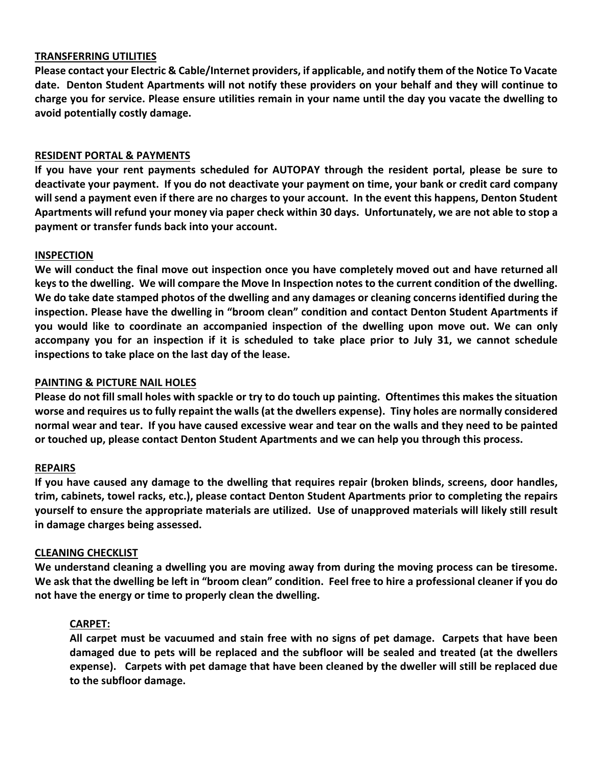## **TRANSFERRING UTILITIES**

**Please contact your Electric & Cable/Internet providers, if applicable, and notify them of the Notice To Vacate date. Denton Student Apartments will not notify these providers on your behalf and they will continue to charge you for service. Please ensure utilities remain in your name until the day you vacate the dwelling to avoid potentially costly damage.**

## **RESIDENT PORTAL & PAYMENTS**

**If you have your rent payments scheduled for AUTOPAY through the resident portal, please be sure to deactivate your payment. If you do not deactivate your payment on time, your bank or credit card company will send a payment even if there are no charges to your account. In the event this happens, Denton Student Apartments will refund your money via paper check within 30 days. Unfortunately, we are not able to stop a payment or transfer funds back into your account.**

## **INSPECTION**

**We will conduct the final move out inspection once you have completely moved out and have returned all keys to the dwelling. We will compare the Move In Inspection notes to the current condition of the dwelling. We do take date stamped photos of the dwelling and any damages or cleaning concerns identified during the inspection. Please have the dwelling in "broom clean" condition and contact Denton Student Apartments if you would like to coordinate an accompanied inspection of the dwelling upon move out. We can only accompany you for an inspection if it is scheduled to take place prior to July 31, we cannot schedule inspections to take place on the last day of the lease.** 

### **PAINTING & PICTURE NAIL HOLES**

**Please do not fill small holes with spackle or try to do touch up painting. Oftentimes this makes the situation worse and requires us to fully repaint the walls (at the dwellers expense). Tiny holes are normally considered normal wear and tear. If you have caused excessive wear and tear on the walls and they need to be painted or touched up, please contact Denton Student Apartments and we can help you through this process.**

#### **REPAIRS**

**If you have caused any damage to the dwelling that requires repair (broken blinds, screens, door handles, trim, cabinets, towel racks, etc.), please contact Denton Student Apartments prior to completing the repairs yourself to ensure the appropriate materials are utilized. Use of unapproved materials will likely still result in damage charges being assessed.** 

#### **CLEANING CHECKLIST**

**We understand cleaning a dwelling you are moving away from during the moving process can be tiresome. We ask that the dwelling be left in "broom clean" condition. Feel free to hire a professional cleaner if you do not have the energy or time to properly clean the dwelling.** 

#### **CARPET:**

**All carpet must be vacuumed and stain free with no signs of pet damage. Carpets that have been damaged due to pets will be replaced and the subfloor will be sealed and treated (at the dwellers expense). Carpets with pet damage that have been cleaned by the dweller will still be replaced due to the subfloor damage.**